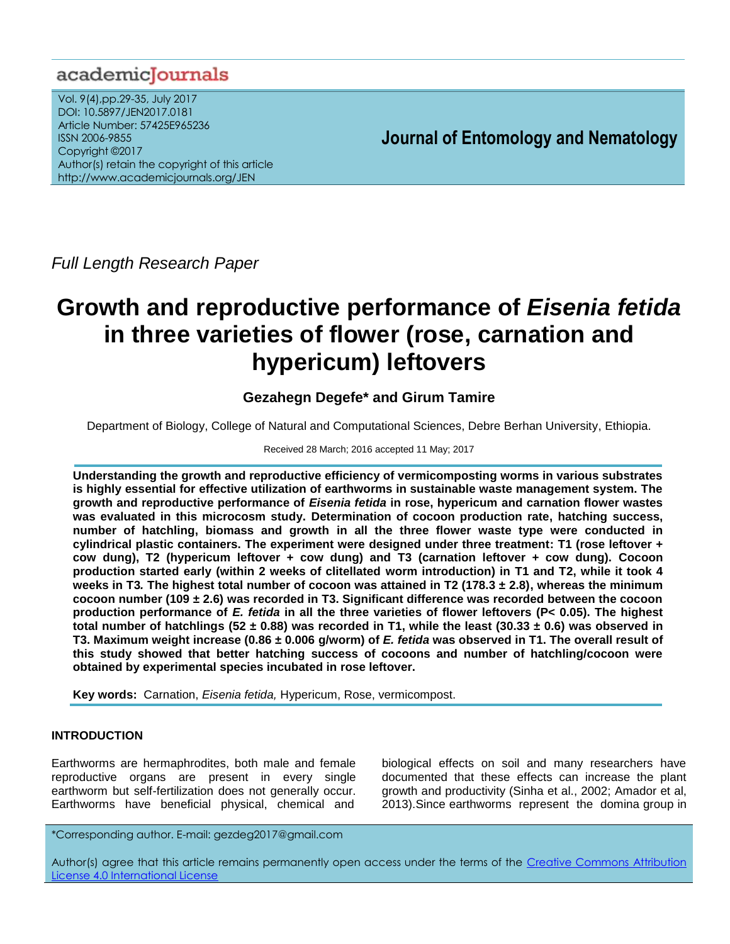# academiclournals

Vol. 9(4),pp.29-35, July 2017 DOI: 10.5897/JEN2017.0181 Article Number: 57425E965236 ISSN 2006-9855 Copyright ©2017 Author(s) retain the copyright of this article http://www.academicjournals.org/JEN

**Journal of Entomology and Nematology**

*Full Length Research Paper*

# **Growth and reproductive performance of** *Eisenia fetida* **in three varieties of flower (rose, carnation and hypericum) leftovers**

# **Gezahegn Degefe\* and Girum Tamire**

Department of Biology, College of Natural and Computational Sciences, Debre Berhan University, Ethiopia.

## Received 28 March; 2016 accepted 11 May; 2017

**Understanding the growth and reproductive efficiency of vermicomposting worms in various substrates is highly essential for effective utilization of earthworms in sustainable waste management system. The growth and reproductive performance of** *Eisenia fetida* **in rose, hypericum and carnation flower wastes was evaluated in this microcosm study. Determination of cocoon production rate, hatching success, number of hatchling, biomass and growth in all the three flower waste type were conducted in cylindrical plastic containers. The experiment were designed under three treatment: T1 (rose leftover + cow dung), T2 (hypericum leftover + cow dung) and T3 (carnation leftover + cow dung). Cocoon production started early (within 2 weeks of clitellated worm introduction) in T1 and T2, while it took 4 weeks in T3***.* **The highest total number of cocoon was attained in T2 (178.3 ± 2.8), whereas the minimum cocoon number (109 ± 2.6) was recorded in T3. Significant difference was recorded between the cocoon production performance of** *E. fetida* **in all the three varieties of flower leftovers (P< 0.05). The highest total number of hatchlings (52 ± 0.88) was recorded in T1, while the least (30.33 ± 0.6) was observed in T3. Maximum weight increase (0.86 ± 0.006 g/worm) of** *E. fetida* **was observed in T1. The overall result of this study showed that better hatching success of cocoons and number of hatchling/cocoon were obtained by experimental species incubated in rose leftover.**

**Key words:** Carnation, *Eisenia fetida,* Hypericum, Rose, vermicompost.

# **INTRODUCTION**

Earthworms are hermaphrodites, both male and female reproductive organs are present in every single earthworm but self-fertilization does not generally occur. Earthworms have beneficial physical, chemical and

biological effects on soil and many researchers have documented that these effects can increase the plant growth and productivity (Sinha et al., 2002; Amador et al, 2013).Since earthworms represent the domina group in

\*Corresponding author. E-mail: gezdeg2017@gmail.com

Author(s) agree that this article remains permanently open access under the terms of the Creative Commons Attribution [License 4.0 International License](http://creativecommons.org/licenses/by/4.0/deed.en_US)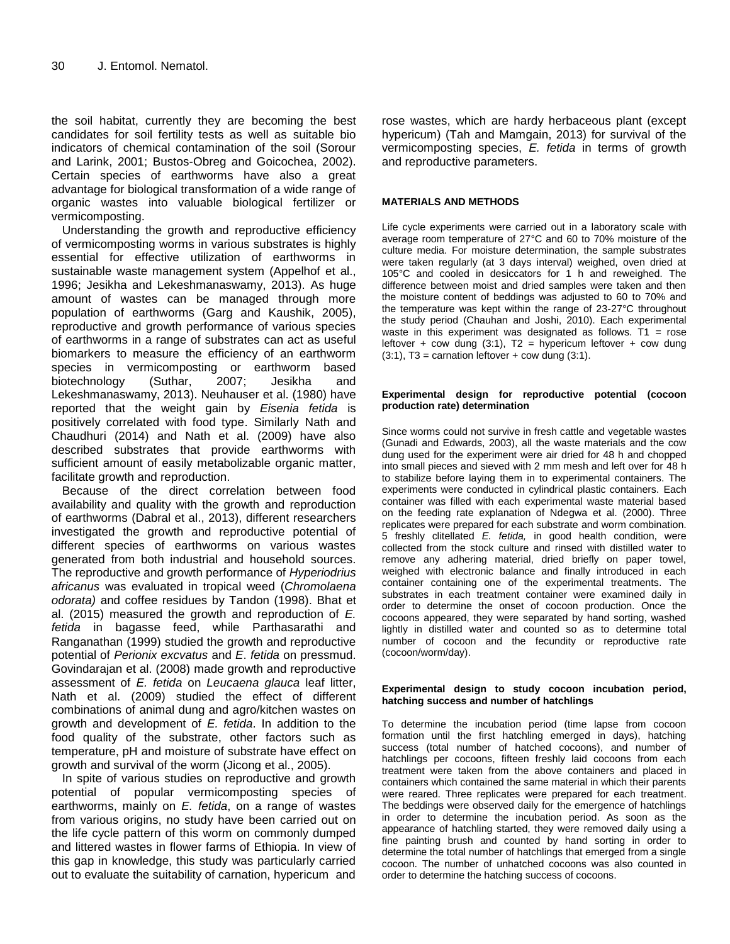the soil habitat, currently they are becoming the best candidates for soil fertility tests as well as suitable bio indicators of chemical contamination of the soil (Sorour and Larink, 2001; Bustos-Obreg and Goicochea, 2002). Certain species of earthworms have also a great advantage for biological transformation of a wide range of organic wastes into valuable biological fertilizer or vermicomposting.

Understanding the growth and reproductive efficiency of vermicomposting worms in various substrates is highly essential for effective utilization of earthworms in sustainable waste management system (Appelhof et al., 1996; Jesikha and Lekeshmanaswamy, 2013). As huge amount of wastes can be managed through more population of earthworms (Garg and Kaushik, 2005), reproductive and growth performance of various species of earthworms in a range of substrates can act as useful biomarkers to measure the efficiency of an earthworm species in vermicomposting or earthworm based biotechnology (Suthar, 2007; Jesikha and Lekeshmanaswamy, 2013). Neuhauser et al. (1980) have reported that the weight gain by *Eisenia fetida* is positively correlated with food type. Similarly Nath and Chaudhuri (2014) and Nath et al. (2009) have also described substrates that provide earthworms with sufficient amount of easily metabolizable organic matter, facilitate growth and reproduction.

Because of the direct correlation between food availability and quality with the growth and reproduction of earthworms (Dabral et al., 2013), different researchers investigated the growth and reproductive potential of different species of earthworms on various wastes generated from both industrial and household sources. The reproductive and growth performance of *Hyperiodrius africanus* was evaluated in tropical weed (*Chromolaena odorata)* and coffee residues by Tandon (1998). Bhat et al. (2015) measured the growth and reproduction of *E. fetida* in bagasse feed, while Parthasarathi and Ranganathan (1999) studied the growth and reproductive potential of *Perionix excvatus* and *E*. *fetida* on pressmud. Govindarajan et al. (2008) made growth and reproductive assessment of *E. fetida* on *Leucaena glauca* leaf litter, Nath et al. (2009) studied the effect of different combinations of animal dung and agro/kitchen wastes on growth and development of *E. fetida*. In addition to the food quality of the substrate, other factors such as temperature, pH and moisture of substrate have effect on growth and survival of the worm (Jicong et al., 2005).

In spite of various studies on reproductive and growth potential of popular vermicomposting species of earthworms, mainly on *E. fetida*, on a range of wastes from various origins, no study have been carried out on the life cycle pattern of this worm on commonly dumped and littered wastes in flower farms of Ethiopia. In view of this gap in knowledge, this study was particularly carried out to evaluate the suitability of carnation, hypericum and

rose wastes, which are hardy herbaceous plant (except hypericum) (Tah and Mamgain, 2013) for survival of the vermicomposting species, *E. fetida* in terms of growth and reproductive parameters.

#### **MATERIALS AND METHODS**

Life cycle experiments were carried out in a laboratory scale with average room temperature of 27°C and 60 to 70% moisture of the culture media. For moisture determination, the sample substrates were taken regularly (at 3 days interval) weighed, oven dried at 105°C and cooled in desiccators for 1 h and reweighed. The difference between moist and dried samples were taken and then the moisture content of beddings was adjusted to 60 to 70% and the temperature was kept within the range of 23-27°C throughout the study period (Chauhan and Joshi, 2010). Each experimental waste in this experiment was designated as follows. T1 =  $rose$ leftover + cow dung (3:1),  $T2 =$  hypericum leftover + cow dung  $(3:1)$ , T3 = carnation leftover + cow dung  $(3:1)$ .

#### **Experimental design for reproductive potential (cocoon production rate) determination**

Since worms could not survive in fresh cattle and vegetable wastes (Gunadi and Edwards, 2003), all the waste materials and the cow dung used for the experiment were air dried for 48 h and chopped into small pieces and sieved with 2 mm mesh and left over for 48 h to stabilize before laying them in to experimental containers. The experiments were conducted in cylindrical plastic containers. Each container was filled with each experimental waste material based on the feeding rate explanation of Ndegwa et al. (2000). Three replicates were prepared for each substrate and worm combination. 5 freshly clitellated *E. fetida,* in good health condition, were collected from the stock culture and rinsed with distilled water to remove any adhering material, dried briefly on paper towel, weighed with electronic balance and finally introduced in each container containing one of the experimental treatments. The substrates in each treatment container were examined daily in order to determine the onset of cocoon production. Once the cocoons appeared, they were separated by hand sorting, washed lightly in distilled water and counted so as to determine total number of cocoon and the fecundity or reproductive rate (cocoon/worm/day).

#### **Experimental design to study cocoon incubation period, hatching success and number of hatchlings**

To determine the incubation period (time lapse from cocoon formation until the first hatchling emerged in days), hatching success (total number of hatched cocoons), and number of hatchlings per cocoons, fifteen freshly laid cocoons from each treatment were taken from the above containers and placed in containers which contained the same material in which their parents were reared. Three replicates were prepared for each treatment. The beddings were observed daily for the emergence of hatchlings in order to determine the incubation period. As soon as the appearance of hatchling started, they were removed daily using a fine painting brush and counted by hand sorting in order to determine the total number of hatchlings that emerged from a single cocoon. The number of unhatched cocoons was also counted in order to determine the hatching success of cocoons.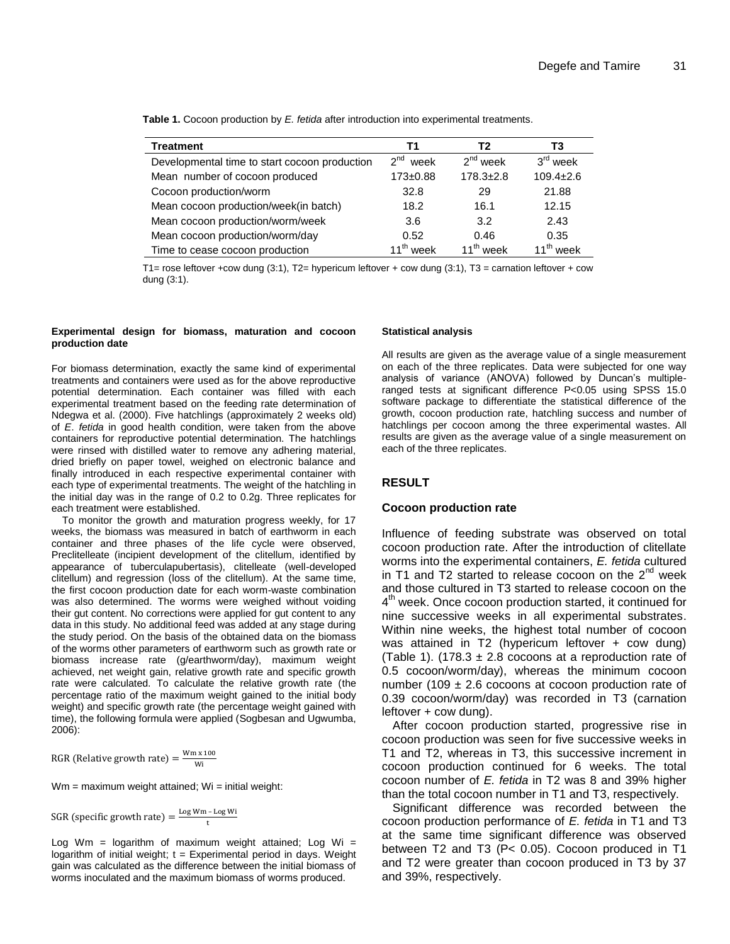| <b>Treatment</b>                              | Т1                      | T <sub>2</sub>        | Т3              |
|-----------------------------------------------|-------------------------|-----------------------|-----------------|
| Developmental time to start cocoon production | 2 <sup>nd</sup><br>week | $2^{nd}$ week         | $3rd$ week      |
| Mean number of cocoon produced                | $173 + 0.88$            | $178.3 \pm 2.8$       | $109.4 \pm 2.6$ |
| Cocoon production/worm                        | 32.8                    | 29                    | 21.88           |
| Mean cocoon production/week(in batch)         | 18.2                    | 16.1                  | 12.15           |
| Mean cocoon production/worm/week              | 3.6                     | 3.2                   | 2.43            |
| Mean cocoon production/worm/day               | 0.52                    | 0.46                  | 0.35            |
| Time to cease cocoon production               | 11 <sup>th</sup> week   | 11 <sup>th</sup> week | $11^{th}$ week  |

**Table 1.** Cocoon production by *E. fetida* after introduction into experimental treatments.

T1= rose leftover +cow dung (3:1), T2= hypericum leftover + cow dung (3:1), T3 = carnation leftover + cow dung (3:1).

#### **Experimental design for biomass, maturation and cocoon production date**

For biomass determination, exactly the same kind of experimental treatments and containers were used as for the above reproductive potential determination. Each container was filled with each experimental treatment based on the feeding rate determination of Ndegwa et al. (2000). Five hatchlings (approximately 2 weeks old) of *E*. *fetida* in good health condition, were taken from the above containers for reproductive potential determination. The hatchlings were rinsed with distilled water to remove any adhering material, dried briefly on paper towel, weighed on electronic balance and finally introduced in each respective experimental container with each type of experimental treatments. The weight of the hatchling in the initial day was in the range of 0.2 to 0.2g. Three replicates for each treatment were established.

To monitor the growth and maturation progress weekly, for 17 weeks, the biomass was measured in batch of earthworm in each container and three phases of the life cycle were observed, Preclitelleate (incipient development of the clitellum, identified by appearance of tuberculapubertasis), clitelleate (well-developed clitellum) and regression (loss of the clitellum). At the same time, the first cocoon production date for each worm-waste combination was also determined. The worms were weighed without voiding their gut content. No corrections were applied for gut content to any data in this study. No additional feed was added at any stage during the study period. On the basis of the obtained data on the biomass of the worms other parameters of earthworm such as growth rate or biomass increase rate (g/earthworm/day), maximum weight achieved, net weight gain, relative growth rate and specific growth rate were calculated. To calculate the relative growth rate (the percentage ratio of the maximum weight gained to the initial body weight) and specific growth rate (the percentage weight gained with time), the following formula were applied (Sogbesan and Ugwumba, 2006):

RGR (Relative growth rate) =  $\frac{W}{A}$ W

 $Wm =$  maximum weight attained;  $Wi =$  initial weight:

SGR (specific growth rate) =  $\frac{\log Wm - L}{L}$ t

Log Wm = logarithm of maximum weight attained; Log Wi = logarithm of initial weight;  $t =$  Experimental period in days. Weight gain was calculated as the difference between the initial biomass of worms inoculated and the maximum biomass of worms produced.

#### **Statistical analysis**

All results are given as the average value of a single measurement on each of the three replicates. Data were subjected for one way analysis of variance (ANOVA) followed by Duncan's multipleranged tests at significant difference P<0.05 using SPSS 15.0 software package to differentiate the statistical difference of the growth, cocoon production rate, hatchling success and number of hatchlings per cocoon among the three experimental wastes. All results are given as the average value of a single measurement on each of the three replicates.

## **RESULT**

#### **Cocoon production rate**

Influence of feeding substrate was observed on total cocoon production rate. After the introduction of clitellate worms into the experimental containers, *E. fetida* cultured in T1 and T2 started to release cocoon on the  $2^{nd}$  week and those cultured in T3 started to release cocoon on the 4<sup>th</sup> week. Once cocoon production started, it continued for nine successive weeks in all experimental substrates. Within nine weeks, the highest total number of cocoon was attained in T2 (hypericum leftover + cow dung) (Table 1). (178.3  $\pm$  2.8 cocoons at a reproduction rate of 0.5 cocoon/worm/day), whereas the minimum cocoon number (109  $\pm$  2.6 cocoons at cocoon production rate of 0.39 cocoon/worm/day) was recorded in T3 (carnation leftover + cow dung).

After cocoon production started, progressive rise in cocoon production was seen for five successive weeks in T1 and T2, whereas in T3, this successive increment in cocoon production continued for 6 weeks. The total cocoon number of *E. fetida* in T2 was 8 and 39% higher than the total cocoon number in T1 and T3, respectively.

Significant difference was recorded between the cocoon production performance of *E. fetida* in T1 and T3 at the same time significant difference was observed between T2 and T3 (P< 0.05). Cocoon produced in T1 and T2 were greater than cocoon produced in T3 by 37 and 39%, respectively.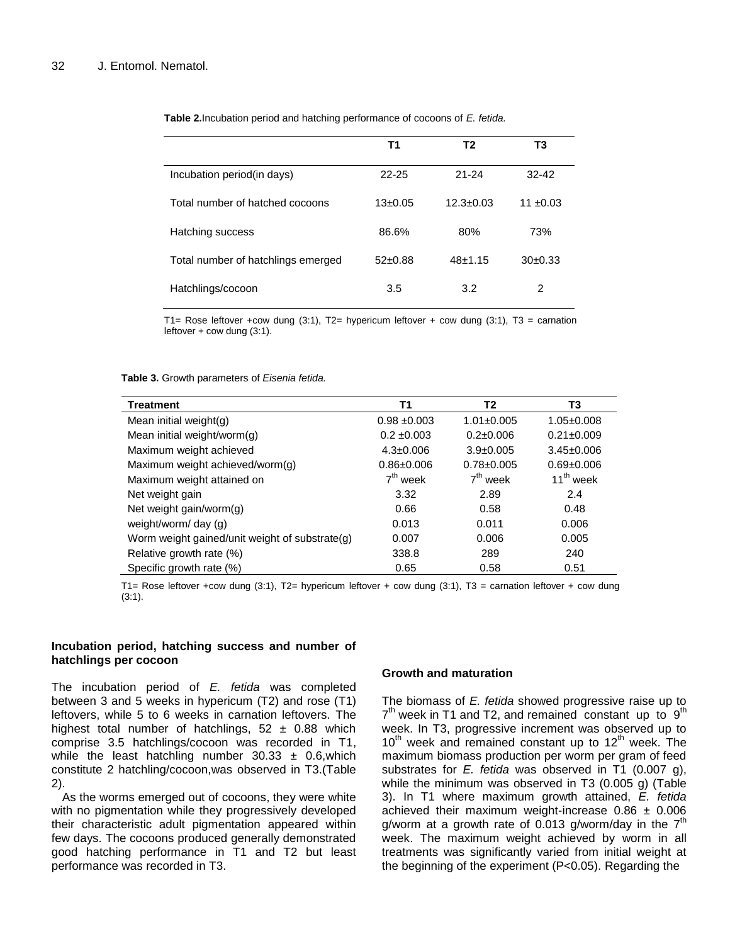|                                    | Τ1          | Т2              | T3            |
|------------------------------------|-------------|-----------------|---------------|
| Incubation period(in days)         | $22 - 25$   | $21 - 24$       | $32-42$       |
| Total number of hatched cocoons    | $13+0.05$   | $12.3 \pm 0.03$ | 11 $\pm 0.03$ |
| Hatching success                   | 86.6%       | 80%             | 73%           |
| Total number of hatchlings emerged | $52\pm0.88$ | $48+1.15$       | 30±0.33       |
| Hatchlings/cocoon                  | 3.5         | 3.2             | 2             |

**Table 2.**Incubation period and hatching performance of cocoons of *E. fetida.*

T1= Rose leftover +cow dung (3:1), T2= hypericum leftover + cow dung (3:1), T3 = carnation leftover  $+$  cow dung  $(3:1)$ .

#### **Table 3.** Growth parameters of *Eisenia fetida.*

| <b>Treatment</b>                               | <b>T1</b>       | Т2               | T3               |
|------------------------------------------------|-----------------|------------------|------------------|
| Mean initial weight $(g)$                      | $0.98 + 0.003$  | $1.01 \pm 0.005$ | $1.05 \pm 0.008$ |
| Mean initial weight/worm $(q)$                 | $0.2 \pm 0.003$ | $0.2 \pm 0.006$  | $0.21 \pm 0.009$ |
| Maximum weight achieved                        | $4.3 \pm 0.006$ | $3.9 \pm 0.005$  | $3.45 \pm 0.006$ |
| Maximum weight achieved/worm(g)                | $0.86 + 0.006$  | $0.78 \pm 0.005$ | $0.69 \pm 0.006$ |
| Maximum weight attained on                     | $7th$ week      | $7th$ week       | $11^{th}$ week   |
| Net weight gain                                | 3.32            | 2.89             | 2.4              |
| Net weight gain/worm $(g)$                     | 0.66            | 0.58             | 0.48             |
| weight/worm/ day (g)                           | 0.013           | 0.011            | 0.006            |
| Worm weight gained/unit weight of substrate(g) | 0.007           | 0.006            | 0.005            |
| Relative growth rate (%)                       | 338.8           | 289              | 240              |
| Specific growth rate (%)                       | 0.65            | 0.58             | 0.51             |

T1= Rose leftover +cow dung (3:1), T2= hypericum leftover + cow dung (3:1), T3 = carnation leftover + cow dung (3:1).

#### **Incubation period, hatching success and number of hatchlings per cocoon**

The incubation period of *E. fetida* was completed between 3 and 5 weeks in hypericum (T2) and rose (T1) leftovers, while 5 to 6 weeks in carnation leftovers. The highest total number of hatchlings,  $52 \pm 0.88$  which comprise 3.5 hatchlings/cocoon was recorded in T1, while the least hatchling number  $30.33 \pm 0.6$ , which constitute 2 hatchling/cocoon,was observed in T3.(Table 2).

As the worms emerged out of cocoons, they were white with no pigmentation while they progressively developed their characteristic adult pigmentation appeared within few days. The cocoons produced generally demonstrated good hatching performance in T1 and T2 but least performance was recorded in T3.

#### **Growth and maturation**

The biomass of *E. fetida* showed progressive raise up to  $7<sup>th</sup>$  week in T1 and T2, and remained constant up to  $9<sup>th</sup>$ week. In T3, progressive increment was observed up to  $10<sup>th</sup>$  week and remained constant up to  $12<sup>th</sup>$  week. The maximum biomass production per worm per gram of feed substrates for *E. fetida* was observed in T1 (0.007 g), while the minimum was observed in T3 (0.005 g) (Table 3). In T1 where maximum growth attained, *E. fetida* achieved their maximum weight-increase  $0.86 \pm 0.006$ g/worm at a growth rate of 0.013 g/worm/day in the  $7<sup>th</sup>$ week. The maximum weight achieved by worm in all treatments was significantly varied from initial weight at the beginning of the experiment (P<0.05). Regarding the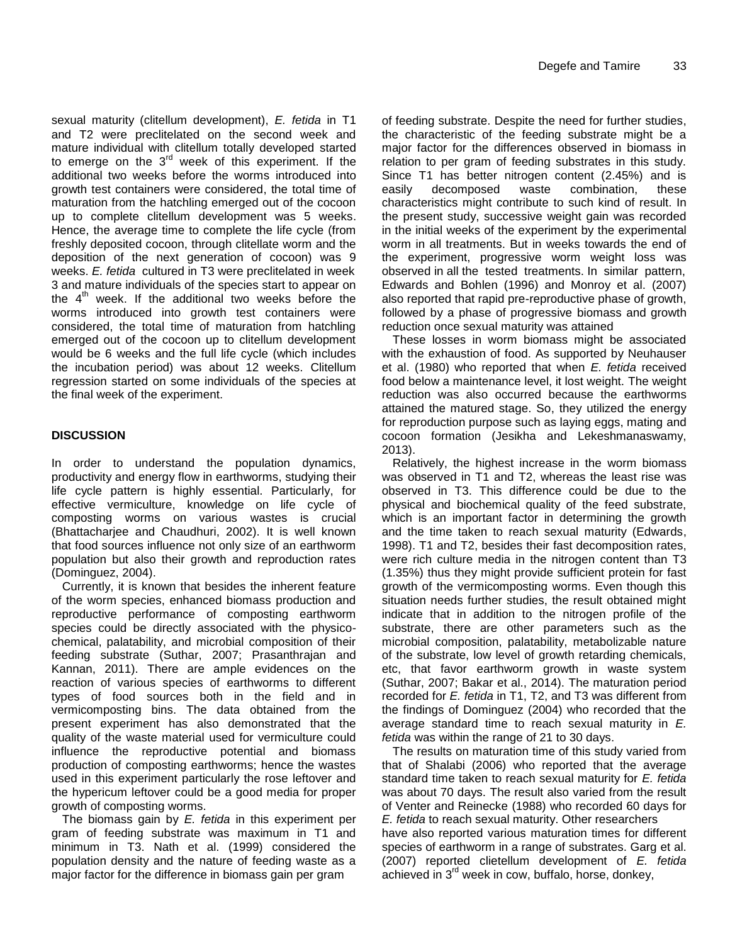sexual maturity (clitellum development), *E. fetida* in T1 and T2 were preclitelated on the second week and mature individual with clitellum totally developed started to emerge on the  $3<sup>rd</sup>$  week of this experiment. If the additional two weeks before the worms introduced into growth test containers were considered, the total time of maturation from the hatchling emerged out of the cocoon up to complete clitellum development was 5 weeks. Hence, the average time to complete the life cycle (from freshly deposited cocoon, through clitellate worm and the deposition of the next generation of cocoon) was 9 weeks. *E. fetida* cultured in T3 were preclitelated in week 3 and mature individuals of the species start to appear on the  $4^{\prime\prime\prime}$  week. If the additional two weeks before the worms introduced into growth test containers were considered, the total time of maturation from hatchling emerged out of the cocoon up to clitellum development would be 6 weeks and the full life cycle (which includes the incubation period) was about 12 weeks. Clitellum regression started on some individuals of the species at the final week of the experiment.

# **DISCUSSION**

In order to understand the population dynamics, productivity and energy flow in earthworms, studying their life cycle pattern is highly essential. Particularly, for effective vermiculture, knowledge on life cycle of composting worms on various wastes is crucial (Bhattacharjee and Chaudhuri, 2002). It is well known that food sources influence not only size of an earthworm population but also their growth and reproduction rates (Dominguez, 2004).

Currently, it is known that besides the inherent feature of the worm species, enhanced biomass production and reproductive performance of composting earthworm species could be directly associated with the physicochemical, palatability, and microbial composition of their feeding substrate (Suthar, 2007; Prasanthrajan and Kannan, 2011). There are ample evidences on the reaction of various species of earthworms to different types of food sources both in the field and in vermicomposting bins. The data obtained from the present experiment has also demonstrated that the quality of the waste material used for vermiculture could influence the reproductive potential and biomass production of composting earthworms; hence the wastes used in this experiment particularly the rose leftover and the hypericum leftover could be a good media for proper growth of composting worms.

The biomass gain by *E. fetida* in this experiment per gram of feeding substrate was maximum in T1 and minimum in T3. Nath et al. (1999) considered the population density and the nature of feeding waste as a major factor for the difference in biomass gain per gram

of feeding substrate. Despite the need for further studies, the characteristic of the feeding substrate might be a major factor for the differences observed in biomass in relation to per gram of feeding substrates in this study. Since T1 has better nitrogen content (2.45%) and is easily decomposed waste combination, these characteristics might contribute to such kind of result. In the present study, successive weight gain was recorded in the initial weeks of the experiment by the experimental worm in all treatments. But in weeks towards the end of the experiment, progressive worm weight loss was observed in all the tested treatments. In similar pattern, Edwards and Bohlen (1996) and Monroy et al. (2007) also reported that rapid pre-reproductive phase of growth, followed by a phase of progressive biomass and growth reduction once sexual maturity was attained

These losses in worm biomass might be associated with the exhaustion of food. As supported by Neuhauser et al. (1980) who reported that when *E. fetida* received food below a maintenance level, it lost weight. The weight reduction was also occurred because the earthworms attained the matured stage. So, they utilized the energy for reproduction purpose such as laying eggs, mating and cocoon formation (Jesikha and Lekeshmanaswamy, 2013).

Relatively, the highest increase in the worm biomass was observed in T1 and T2, whereas the least rise was observed in T3. This difference could be due to the physical and biochemical quality of the feed substrate, which is an important factor in determining the growth and the time taken to reach sexual maturity (Edwards, 1998). T1 and T2, besides their fast decomposition rates, were rich culture media in the nitrogen content than T3 (1.35%) thus they might provide sufficient protein for fast growth of the vermicomposting worms. Even though this situation needs further studies, the result obtained might indicate that in addition to the nitrogen profile of the substrate, there are other parameters such as the microbial composition, palatability, metabolizable nature of the substrate, low level of growth retarding chemicals, etc, that favor earthworm growth in waste system (Suthar, 2007; Bakar et al., 2014). The maturation period recorded for *E. fetida* in T1, T2, and T3 was different from the findings of Dominguez (2004) who recorded that the average standard time to reach sexual maturity in *E. fetida* was within the range of 21 to 30 days.

The results on maturation time of this study varied from that of Shalabi (2006) who reported that the average standard time taken to reach sexual maturity for *E. fetida* was about 70 days. The result also varied from the result of Venter and Reinecke (1988) who recorded 60 days for *E. fetida* to reach sexual maturity. Other researchers have also reported various maturation times for different species of earthworm in a range of substrates. Garg et al. (2007) reported clietellum development of *E. fetida* achieved in 3rd week in cow, buffalo, horse, donkey,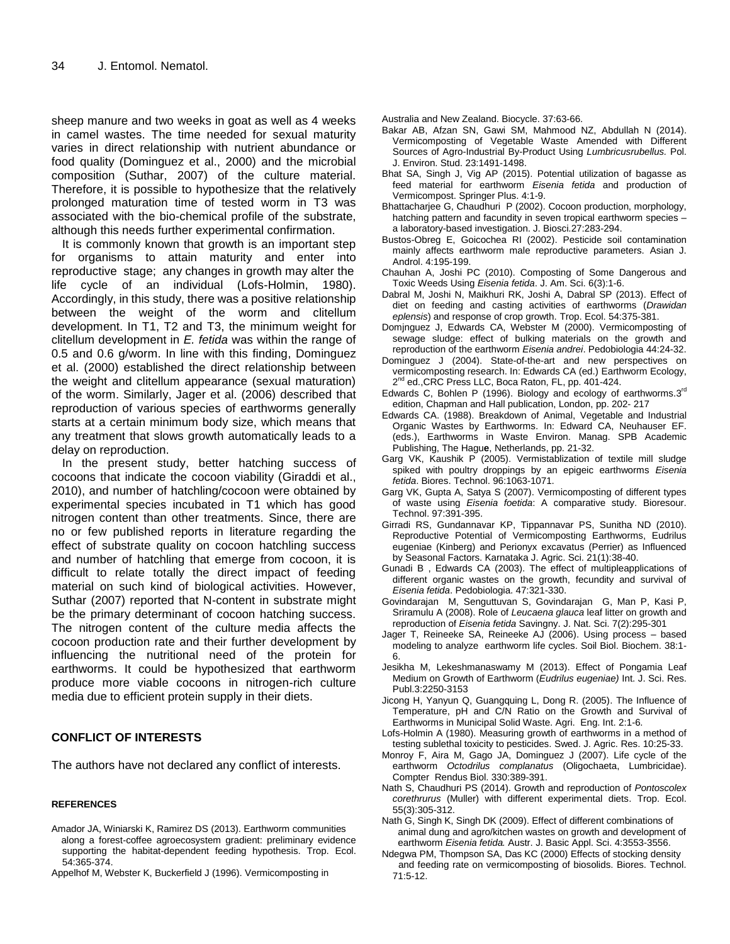sheep manure and two weeks in goat as well as 4 weeks in camel wastes. The time needed for sexual maturity varies in direct relationship with nutrient abundance or food quality (Dominguez et al., 2000) and the microbial composition (Suthar, 2007) of the culture material. Therefore, it is possible to hypothesize that the relatively prolonged maturation time of tested worm in T3 was associated with the bio-chemical profile of the substrate, although this needs further experimental confirmation.

It is commonly known that growth is an important step for organisms to attain maturity and enter into reproductive stage; any changes in growth may alter the life cycle of an individual (Lofs-Holmin, 1980). Accordingly, in this study, there was a positive relationship between the weight of the worm and clitellum development. In T1, T2 and T3, the minimum weight for clitellum development in *E. fetida* was within the range of 0.5 and 0.6 g/worm. In line with this finding, Dominguez et al. (2000) established the direct relationship between the weight and clitellum appearance (sexual maturation) of the worm. Similarly, Jager et al. (2006) described that reproduction of various species of earthworms generally starts at a certain minimum body size, which means that any treatment that slows growth automatically leads to a delay on reproduction.

In the present study, better hatching success of cocoons that indicate the cocoon viability (Giraddi et al., 2010), and number of hatchling/cocoon were obtained by experimental species incubated in T1 which has good nitrogen content than other treatments. Since, there are no or few published reports in literature regarding the effect of substrate quality on cocoon hatchling success and number of hatchling that emerge from cocoon, it is difficult to relate totally the direct impact of feeding material on such kind of biological activities. However, Suthar (2007) reported that N-content in substrate might be the primary determinant of cocoon hatching success. The nitrogen content of the culture media affects the cocoon production rate and their further development by influencing the nutritional need of the protein for earthworms. It could be hypothesized that earthworm produce more viable cocoons in nitrogen-rich culture media due to efficient protein supply in their diets.

# **CONFLICT OF INTERESTS**

The authors have not declared any conflict of interests.

#### **REFERENCES**

- Amador JA, Winiarski K, Ramirez DS (2013). Earthworm communities along a forest-coffee agroecosystem gradient: preliminary evidence supporting the habitat-dependent feeding hypothesis. Trop. Ecol. 54:365-374.
- Appelhof M, Webster K, Buckerfield J (1996). Vermicomposting in

Australia and New Zealand. Biocycle. 37:63-66.

- Bakar AB, Afzan SN, Gawi SM, Mahmood NZ, Abdullah N (2014). Vermicomposting of Vegetable Waste Amended with Different Sources of Agro-Industrial By-Product Using *Lumbricusrubellus.* Pol. J. Environ. Stud. 23:1491-1498.
- Bhat SA, Singh J, Vig AP (2015). Potential utilization of bagasse as feed material for earthworm *Eisenia fetida* and production of Vermicompost. Springer Plus. 4:1-9.
- Bhattacharjee G, Chaudhuri P (2002). Cocoon production, morphology, hatching pattern and facundity in seven tropical earthworm species – a laboratory-based investigation. J. Biosci.27:283-294.
- Bustos-Obreg E, Goicochea RI (2002). Pesticide soil contamination mainly affects earthworm male reproductive parameters. Asian J. Androl. 4:195-199.
- Chauhan A, Joshi PC (2010). Composting of Some Dangerous and Toxic Weeds Using *Eisenia fetida*. J. Am. Sci. 6(3):1-6.
- Dabral M, Joshi N, Maikhuri RK, Joshi A, Dabral SP (2013). Effect of diet on feeding and casting activities of earthworms (*Drawidan eplensis*) and response of crop growth. Trop. Ecol. 54:375-381.
- Domjnguez J, Edwards CA, Webster M (2000). Vermicomposting of sewage sludge: effect of bulking materials on the growth and reproduction of the earthworm *Eisenia andrei*. Pedobiologia 44:24-32.
- Dominguez J (2004). State-of-the-art and new perspectives on vermicomposting research. In: Edwards CA (ed.) Earthworm Ecology, 2<sup>nd</sup> ed., CRC Press LLC, Boca Raton, FL, pp. 401-424.
- Edwards C, Bohlen P (1996). Biology and ecology of earthworms.  $3<sup>rd</sup>$ edition, Chapman and Hall publication, London, pp. 202- 217
- Edwards CA. (1988). Breakdown of Animal, Vegetable and Industrial Organic Wastes by Earthworms. In: Edward CA, Neuhauser EF. (eds.), Earthworms in Waste Environ. Manag. SPB Academic Publishing, The Hagu**e**, Netherlands, pp. 21-32.
- Garg VK, Kaushik P (2005). Vermistablization of textile mill sludge spiked with poultry droppings by an epigeic earthworms *Eisenia fetida*. Biores. Technol. 96:1063-1071.
- Garg VK, Gupta A, Satya S (2007). Vermicomposting of different types of waste using *Eisenia foetida*: A comparative study. Bioresour. Technol. 97:391-395.
- Girradi RS, Gundannavar KP, Tippannavar PS, Sunitha ND (2010). Reproductive Potential of Vermicomposting Earthworms, Eudrilus eugeniae (Kinberg) and Perionyx excavatus (Perrier) as Influenced by Seasonal Factors. Karnataka J. Agric. Sci. 21(1):38-40.
- Gunadi B , Edwards CA (2003). The effect of multipleapplications of different organic wastes on the growth, fecundity and survival of *Eisenia fetida*. Pedobiologia. 47:321-330.
- Govindarajan M, Senguttuvan S, Govindarajan G, Man P, Kasi P, Sriramulu A (2008). Role of *Leucaena glauca* leaf litter on growth and reproduction of *Eisenia fetida* Savingny. J. Nat. Sci. 7(2):295-301
- Jager T, Reineeke SA, Reineeke AJ (2006). Using process based modeling to analyze earthworm life cycles. Soil Biol. Biochem. 38:1- 6.
- Jesikha M, Lekeshmanaswamy M (2013). Effect of Pongamia Leaf Medium on Growth of Earthworm (*Eudrilus eugeniae)* Int. J. Sci. Res. Publ.3:2250-3153
- Jicong H, Yanyun Q, Guangquing L, Dong R. (2005). The Influence of Temperature, pH and C/N Ratio on the Growth and Survival of Earthworms in Municipal Solid Waste. Agri. Eng. Int. 2:1-6.
- Lofs-Holmin A (1980). Measuring growth of earthworms in a method of testing sublethal toxicity to pesticides. Swed. J. Agric. Res. 10:25-33.
- Monroy F, Aira M, Gago JA, Dominguez J (2007). Life cycle of the earthworm *Octodrilus complanatus* (Oligochaeta, Lumbricidae). Compter Rendus Biol. 330:389-391.
- Nath S, Chaudhuri PS (2014). Growth and reproduction of *Pontoscolex corethrurus* (Muller) with different experimental diets. Trop. Ecol. 55(3):305-312.
- Nath G, Singh K, Singh DK (2009). Effect of different combinations of animal dung and agro/kitchen wastes on growth and development of earthworm *Eisenia fetida.* Austr. J. Basic Appl. Sci. 4:3553-3556.
- Ndegwa PM, Thompson SA, Das KC (2000) Effects of stocking density and feeding rate on vermicomposting of biosolids. Biores. Technol*.* 71:5-12.